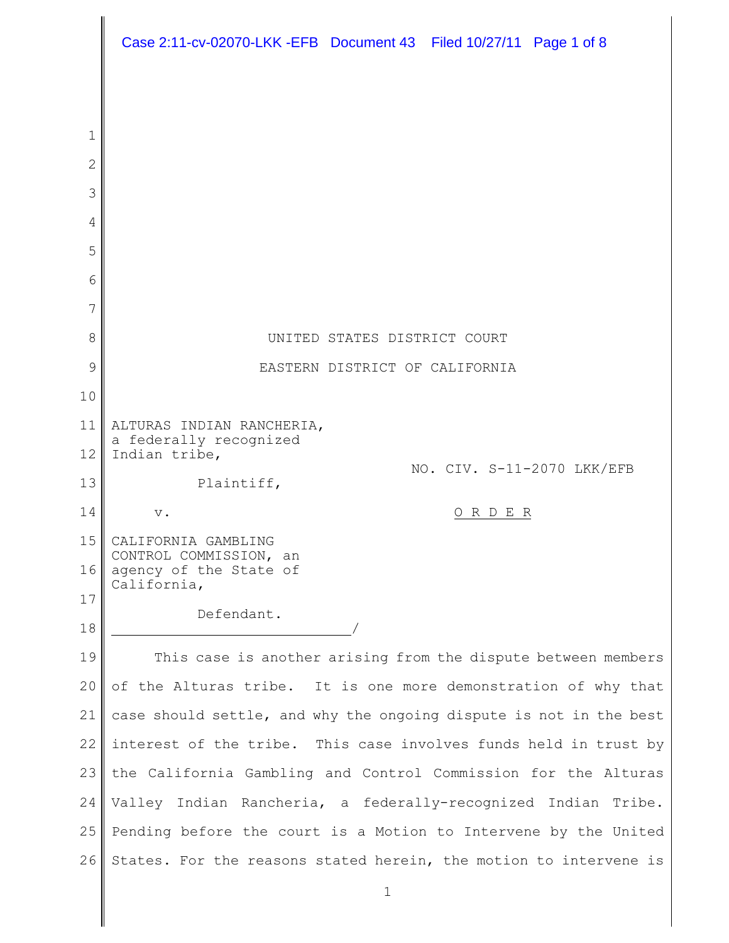|                            | Case 2:11-cv-02070-LKK -EFB Document 43 Filed 10/27/11 Page 1 of 8  |
|----------------------------|---------------------------------------------------------------------|
|                            |                                                                     |
|                            |                                                                     |
| $\mathbf 1$<br>$\mathbf 2$ |                                                                     |
| 3                          |                                                                     |
| 4                          |                                                                     |
| 5                          |                                                                     |
| 6                          |                                                                     |
| 7                          |                                                                     |
| 8                          | UNITED STATES DISTRICT COURT                                        |
| 9                          | EASTERN DISTRICT OF CALIFORNIA                                      |
| 10                         |                                                                     |
| 11                         | ALTURAS INDIAN RANCHERIA,<br>a federally recognized                 |
| 12                         | Indian tribe,<br>NO. CIV. S-11-2070 LKK/EFB                         |
| 13                         | Plaintiff,                                                          |
| 14                         | ORDER<br>$\mathbf v$ .                                              |
| 15                         | CALIFORNIA GAMBLING<br>CONTROL COMMISSION, an                       |
| 16                         | agency of the State of<br>California,                               |
| 17                         | Defendant.                                                          |
| 18                         |                                                                     |
| 19                         | This case is another arising from the dispute between members       |
| 20                         | of the Alturas tribe. It is one more demonstration of why that      |
| 21                         | case should settle, and why the ongoing dispute is not in the best  |
| 22                         | interest of the tribe. This case involves funds held in trust by    |
| 23                         | the California Gambling and Control Commission for the Alturas      |
| 24                         | Indian Rancheria, a federally-recognized Indian<br>Valley<br>Tribe. |
| 25                         | Pending before the court is a Motion to Intervene by the United     |
| 26                         | States. For the reasons stated herein, the motion to intervene is   |
|                            | $\mathbf 1$                                                         |
|                            |                                                                     |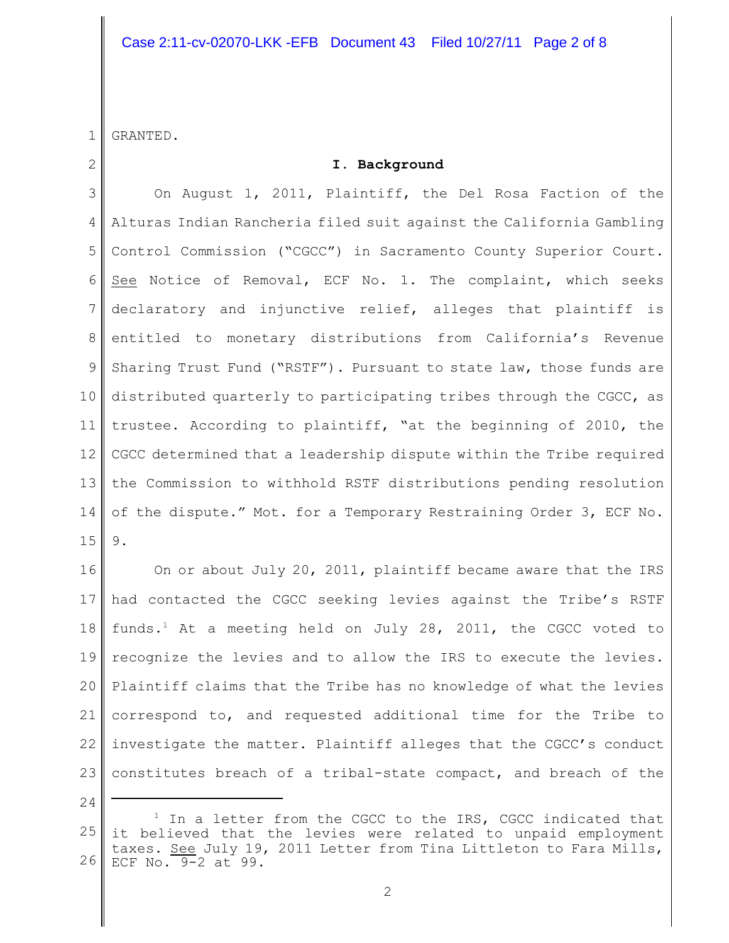# Case 2:11-cv-02070-LKK -EFB Document 43 Filed 10/27/11 Page 2 of 8

1 GRANTED.

2

### **I. Background**

3 4 5 6 7 8 9 10 11 12 13 14 15 On August 1, 2011, Plaintiff, the Del Rosa Faction of the Alturas Indian Rancheria filed suit against the California Gambling Control Commission ("CGCC") in Sacramento County Superior Court. See Notice of Removal, ECF No. 1. The complaint, which seeks declaratory and injunctive relief, alleges that plaintiff is entitled to monetary distributions from California's Revenue Sharing Trust Fund ("RSTF"). Pursuant to state law, those funds are distributed quarterly to participating tribes through the CGCC, as trustee. According to plaintiff, "at the beginning of 2010, the CGCC determined that a leadership dispute within the Tribe required the Commission to withhold RSTF distributions pending resolution of the dispute." Mot. for a Temporary Restraining Order 3, ECF No. 9.

16 17 18 19 20 21 22 23 On or about July 20, 2011, plaintiff became aware that the IRS had contacted the CGCC seeking levies against the Tribe's RSTF funds.<sup>1</sup> At a meeting held on July 28, 2011, the CGCC voted to recognize the levies and to allow the IRS to execute the levies. Plaintiff claims that the Tribe has no knowledge of what the levies correspond to, and requested additional time for the Tribe to investigate the matter. Plaintiff alleges that the CGCC's conduct constitutes breach of a tribal-state compact, and breach of the

24

<sup>25</sup> 26  $1$  In a letter from the CGCC to the IRS, CGCC indicated that it believed that the levies were related to unpaid employment taxes. See July 19, 2011 Letter from Tina Littleton to Fara Mills, ECF No. 9-2 at 99.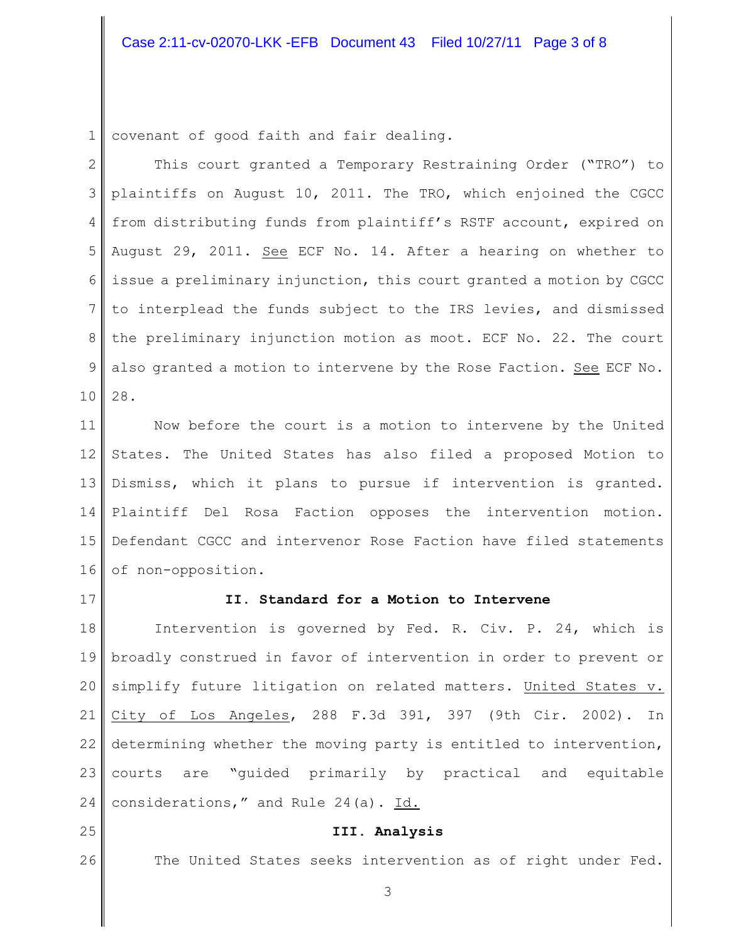### Case 2:11-cv-02070-LKK -EFB Document 43 Filed 10/27/11 Page 3 of 8

1 covenant of good faith and fair dealing.

2 3 4 5 6 7 8 9 10 This court granted a Temporary Restraining Order ("TRO") to plaintiffs on August 10, 2011. The TRO, which enjoined the CGCC from distributing funds from plaintiff's RSTF account, expired on August 29, 2011. See ECF No. 14. After a hearing on whether to issue a preliminary injunction, this court granted a motion by CGCC to interplead the funds subject to the IRS levies, and dismissed the preliminary injunction motion as moot. ECF No. 22. The court also granted a motion to intervene by the Rose Faction. See ECF No. 28.

11 12 13 14 15 16 Now before the court is a motion to intervene by the United States. The United States has also filed a proposed Motion to Dismiss, which it plans to pursue if intervention is granted. Plaintiff Del Rosa Faction opposes the intervention motion. Defendant CGCC and intervenor Rose Faction have filed statements of non-opposition.

17

25

26

### **II. Standard for a Motion to Intervene**

18 19 20 21 22 23 24 Intervention is governed by Fed. R. Civ. P. 24, which is broadly construed in favor of intervention in order to prevent or simplify future litigation on related matters. United States v. City of Los Angeles, 288 F.3d 391, 397 (9th Cir. 2002). In determining whether the moving party is entitled to intervention, courts are "guided primarily by practical and equitable considerations," and Rule 24(a). Id.

## **III. Analysis**

The United States seeks intervention as of right under Fed.

3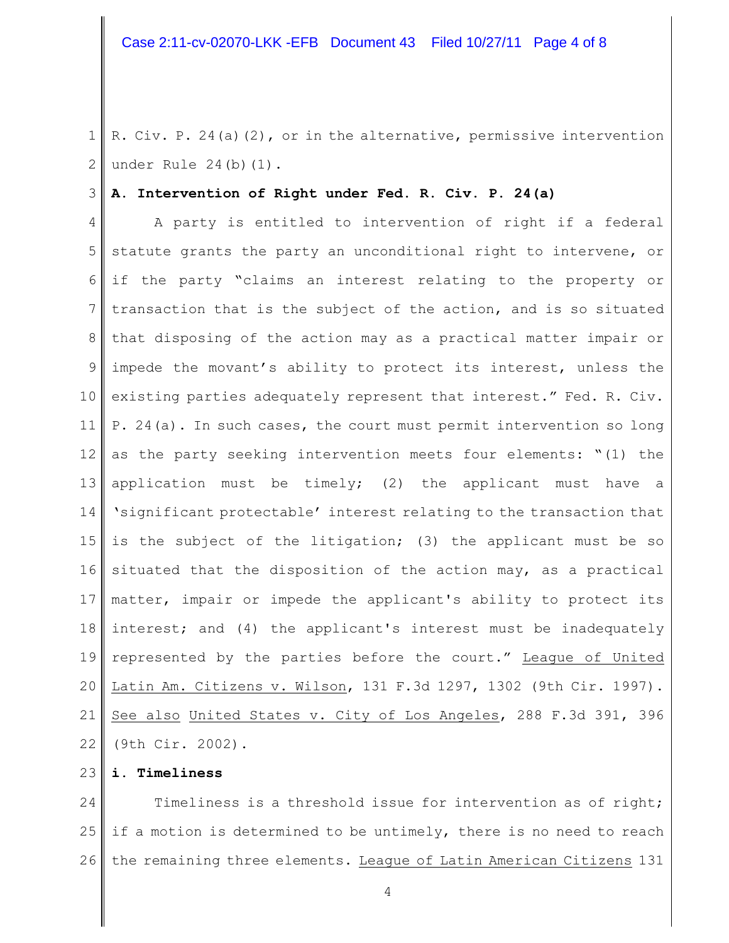1 2 R. Civ. P. 24(a)(2), or in the alternative, permissive intervention under Rule 24(b)(1).

#### 3 **A. Intervention of Right under Fed. R. Civ. P. 24(a)**

4 5 6 7 8 9 10 11 12 13 14 15 16 17 18 19 20 21 22 A party is entitled to intervention of right if a federal statute grants the party an unconditional right to intervene, or if the party "claims an interest relating to the property or transaction that is the subject of the action, and is so situated that disposing of the action may as a practical matter impair or impede the movant's ability to protect its interest, unless the existing parties adequately represent that interest." Fed. R. Civ. P. 24(a). In such cases, the court must permit intervention so long as the party seeking intervention meets four elements: "(1) the application must be timely; (2) the applicant must have a 'significant protectable' interest relating to the transaction that is the subject of the litigation; (3) the applicant must be so situated that the disposition of the action may, as a practical matter, impair or impede the applicant's ability to protect its interest; and (4) the applicant's interest must be inadequately represented by the parties before the court." League of United Latin Am. Citizens v. Wilson, 131 F.3d 1297, 1302 (9th Cir. 1997). See also United States v. City of Los Angeles, 288 F.3d 391, 396 (9th Cir. 2002).

### 23 **i. Timeliness**

24 25 26 Timeliness is a threshold issue for intervention as of right; if a motion is determined to be untimely, there is no need to reach the remaining three elements. League of Latin American Citizens 131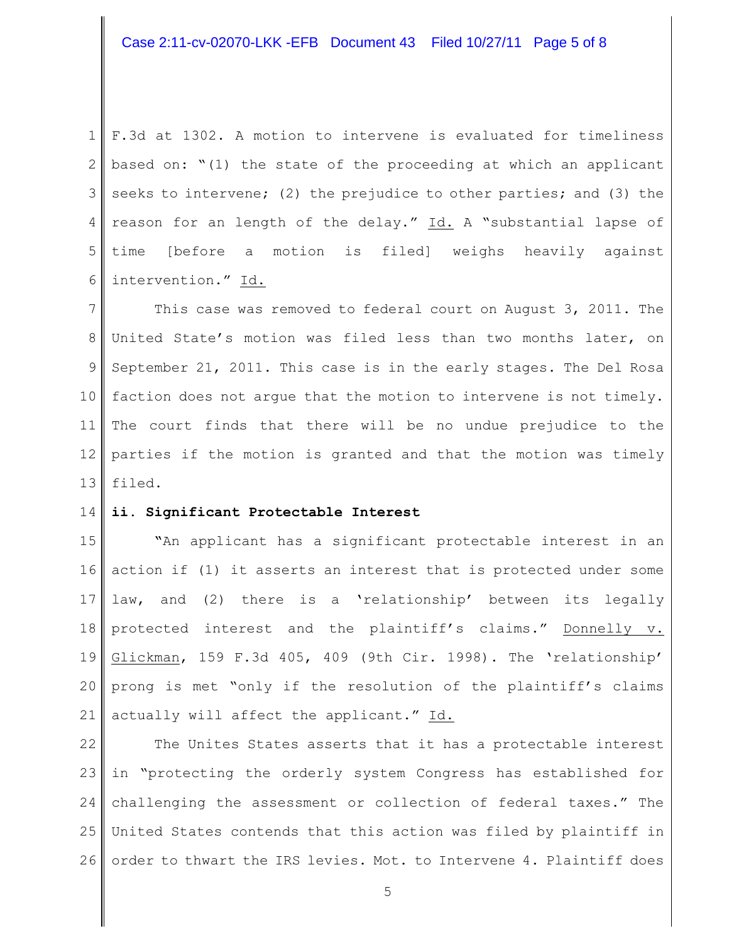1 2 3 seeks to intervene; (2) the prejudice to other parties; and (3) the 4 5 6 F.3d at 1302. A motion to intervene is evaluated for timeliness based on: "(1) the state of the proceeding at which an applicant reason for an length of the delay." Id. A "substantial lapse of time [before a motion is filed] weighs heavily against intervention." Id.

7 8 9 10 11 12 13 This case was removed to federal court on August 3, 2011. The United State's motion was filed less than two months later, on September 21, 2011. This case is in the early stages. The Del Rosa faction does not argue that the motion to intervene is not timely. The court finds that there will be no undue prejudice to the parties if the motion is granted and that the motion was timely filed.

#### 14 **ii. Significant Protectable Interest**

15 16 action if (1) it asserts an interest that is protected under some 17 18 19 20 21 **"**An applicant has a significant protectable interest in an law, and (2) there is a 'relationship' between its legally protected interest and the plaintiff's claims." Donnelly v. Glickman, 159 F.3d 405, 409 (9th Cir. 1998). The 'relationship' prong is met "only if the resolution of the plaintiff's claims actually will affect the applicant." Id.

22 23 in "protecting the orderly system Congress has established for 24 25 26 The Unites States asserts that it has a protectable interest challenging the assessment or collection of federal taxes." The United States contends that this action was filed by plaintiff in order to thwart the IRS levies. Mot. to Intervene 4. Plaintiff does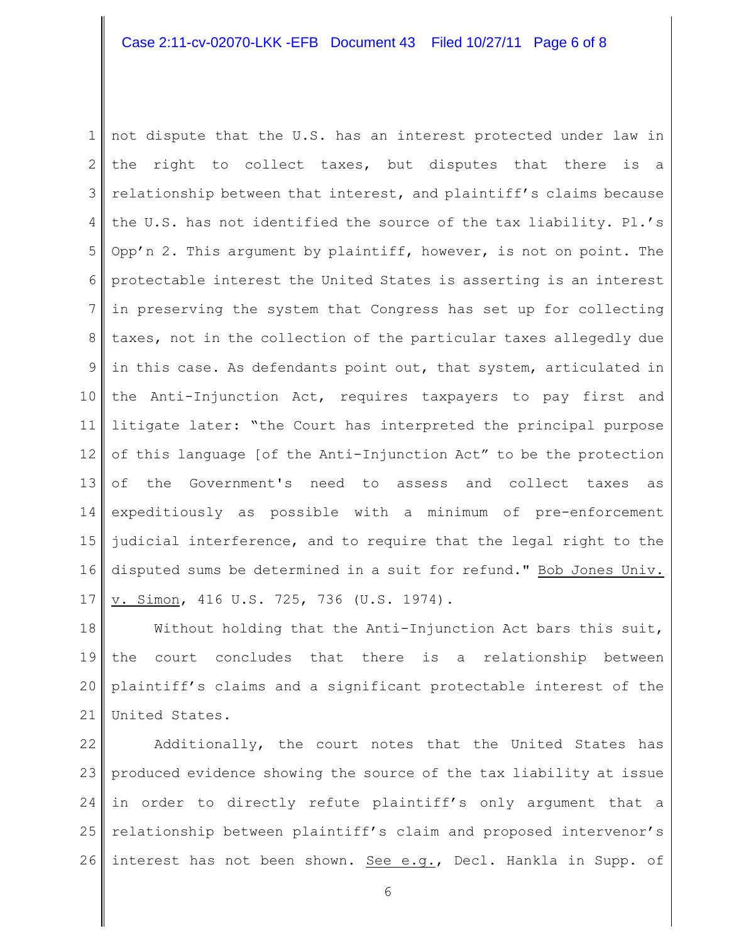### Case 2:11-cv-02070-LKK -EFB Document 43 Filed 10/27/11 Page 6 of 8

1 2 3 4 5 6 7 8 9 10 11 12 13 14 15 16 17 not dispute that the U.S. has an interest protected under law in the right to collect taxes, but disputes that there is a relationship between that interest, and plaintiff's claims because the U.S. has not identified the source of the tax liability. Pl.'s Opp'n 2. This argument by plaintiff, however, is not on point. The protectable interest the United States is asserting is an interest in preserving the system that Congress has set up for collecting taxes, not in the collection of the particular taxes allegedly due in this case. As defendants point out, that system, articulated in the Anti-Injunction Act, requires taxpayers to pay first and litigate later: "the Court has interpreted the principal purpose of this language [of the Anti-Injunction Act" to be the protection of the Government's need to assess and collect taxes as expeditiously as possible with a minimum of pre-enforcement judicial interference, and to require that the legal right to the disputed sums be determined in a suit for refund." Bob Jones Univ. v. Simon, 416 U.S. 725, 736 (U.S. 1974).

18 19 20 21 Without holding that the Anti-Injunction Act bars this suit, the court concludes that there is a relationship between plaintiff's claims and a significant protectable interest of the United States.

22 23 produced evidence showing the source of the tax liability at issue 24 25 26 Additionally, the court notes that the United States has in order to directly refute plaintiff's only argument that a relationship between plaintiff's claim and proposed intervenor's interest has not been shown. See e.g., Decl. Hankla in Supp. of

6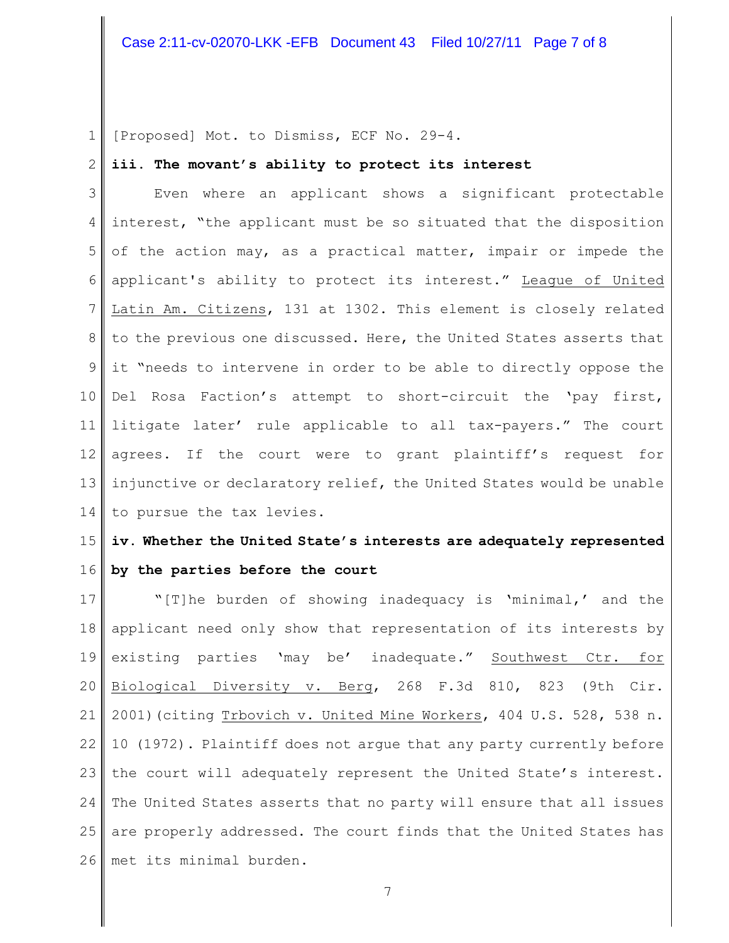1 [Proposed] Mot. to Dismiss, ECF No. 29-4.

#### 2 **iii. The movant's ability to protect its interest**

3 4 5 6 7 8 9 10 11 12 13 14 Even where an applicant shows a significant protectable interest, "the applicant must be so situated that the disposition of the action may, as a practical matter, impair or impede the applicant's ability to protect its interest." League of United Latin Am. Citizens, 131 at 1302. This element is closely related to the previous one discussed. Here, the United States asserts that it "needs to intervene in order to be able to directly oppose the Del Rosa Faction's attempt to short-circuit the 'pay first, litigate later' rule applicable to all tax-payers." The court agrees. If the court were to grant plaintiff's request for injunctive or declaratory relief, the United States would be unable to pursue the tax levies.

### 15 16 **iv. Whether the United State's interests are adequately represented by the parties before the court**

17 18 19 20 21 22 23 the court will adequately represent the United State's interest. 24 25 26 "[T]he burden of showing inadequacy is 'minimal,' and the applicant need only show that representation of its interests by existing parties 'may be' inadequate." Southwest Ctr. for Biological Diversity v. Berg, 268 F.3d 810, 823 (9th Cir. 2001) (citing Trbovich v. United Mine Workers, 404 U.S. 528, 538 n. 10 (1972). Plaintiff does not argue that any party currently before The United States asserts that no party will ensure that all issues are properly addressed. The court finds that the United States has met its minimal burden.